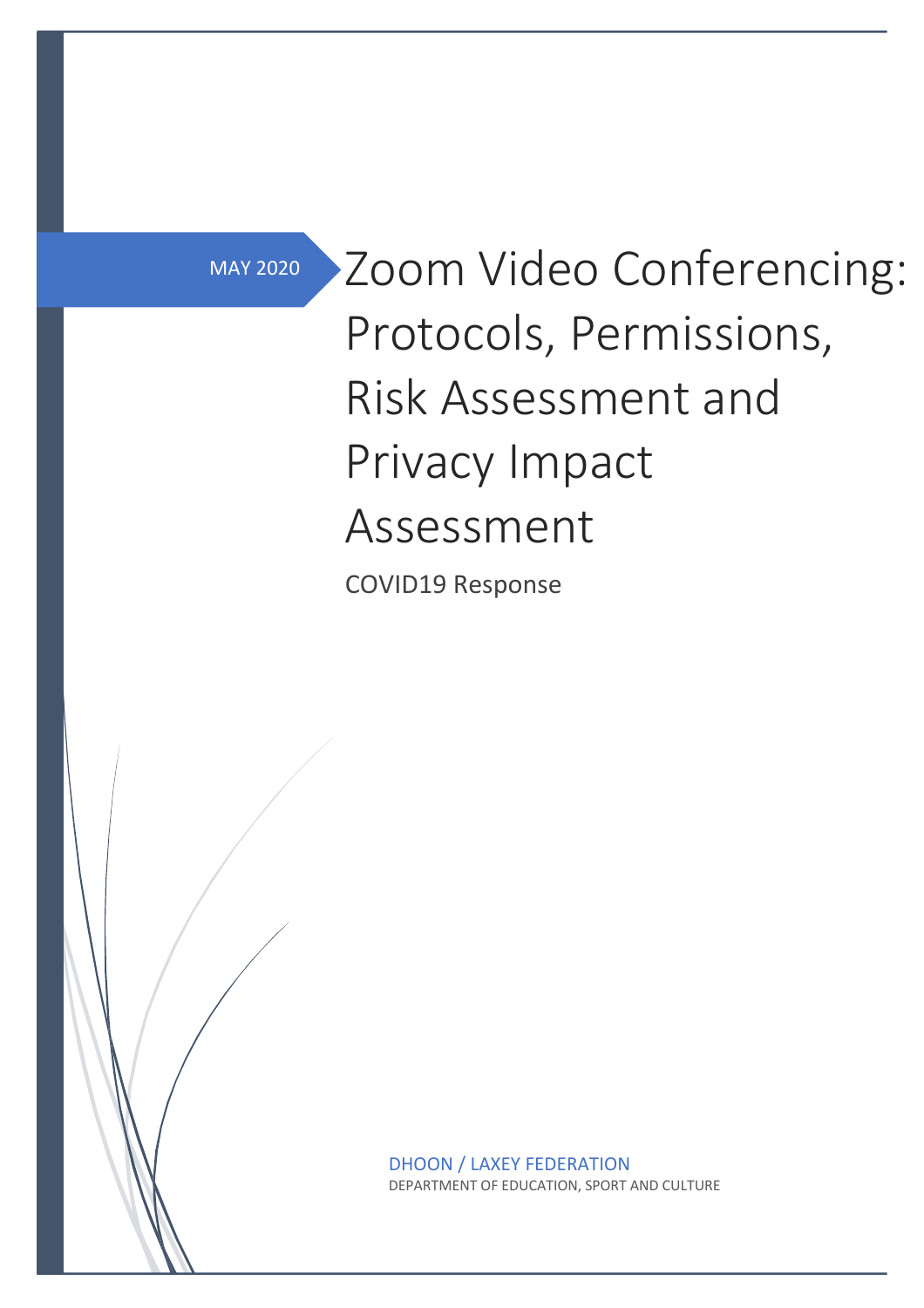MAY 2020

Zoom Video Conferencing: Protocols, Permissions, Risk Assessment and Privacy Impact Assessment

COVID19 Response

DHOON / LAXEY FEDERATION DEPARTMENT OF EDUCATION, SPORT AND CULTURE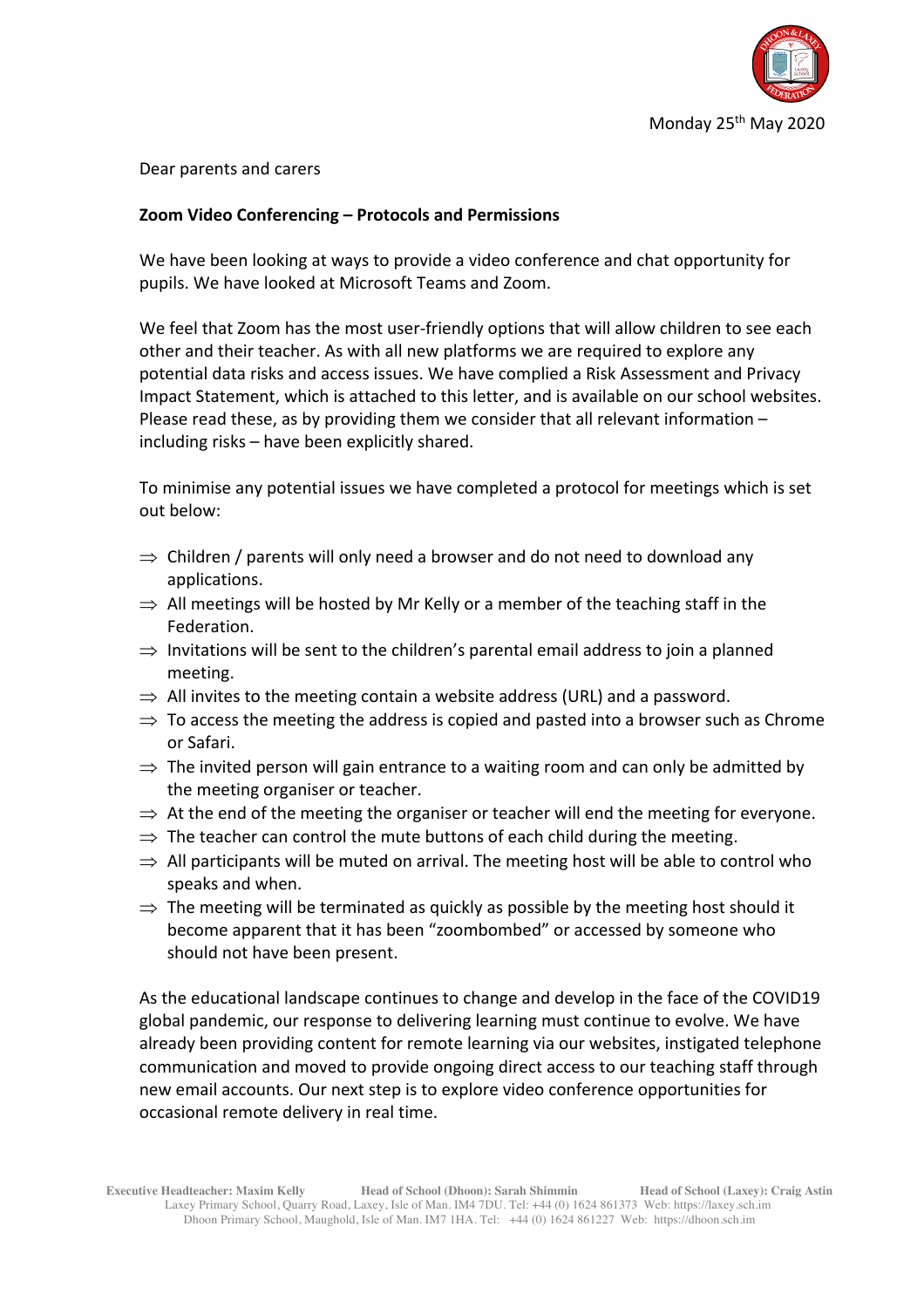

## Dear parents and carers

# **Zoom Video Conferencing – Protocols and Permissions**

We have been looking at ways to provide a video conference and chat opportunity for pupils. We have looked at Microsoft Teams and Zoom.

We feel that Zoom has the most user-friendly options that will allow children to see each other and their teacher. As with all new platforms we are required to explore any potential data risks and access issues. We have complied a Risk Assessment and Privacy Impact Statement, which is attached to this letter, and is available on our school websites. Please read these, as by providing them we consider that all relevant information – including risks – have been explicitly shared.

To minimise any potential issues we have completed a protocol for meetings which is set out below:

- $\Rightarrow$  Children / parents will only need a browser and do not need to download any applications.
- $\Rightarrow$  All meetings will be hosted by Mr Kelly or a member of the teaching staff in the Federation.
- $\Rightarrow$  Invitations will be sent to the children's parental email address to join a planned meeting.
- $\Rightarrow$  All invites to the meeting contain a website address (URL) and a password.
- $\Rightarrow$  To access the meeting the address is copied and pasted into a browser such as Chrome or Safari.
- $\Rightarrow$  The invited person will gain entrance to a waiting room and can only be admitted by the meeting organiser or teacher.
- $\Rightarrow$  At the end of the meeting the organiser or teacher will end the meeting for everyone.
- $\Rightarrow$  The teacher can control the mute buttons of each child during the meeting.
- $\Rightarrow$  All participants will be muted on arrival. The meeting host will be able to control who speaks and when.
- $\Rightarrow$  The meeting will be terminated as quickly as possible by the meeting host should it become apparent that it has been "zoombombed" or accessed by someone who should not have been present.

As the educational landscape continues to change and develop in the face of the COVID19 global pandemic, our response to delivering learning must continue to evolve. We have already been providing content for remote learning via our websites, instigated telephone communication and moved to provide ongoing direct access to our teaching staff through new email accounts. Our next step is to explore video conference opportunities for occasional remote delivery in real time.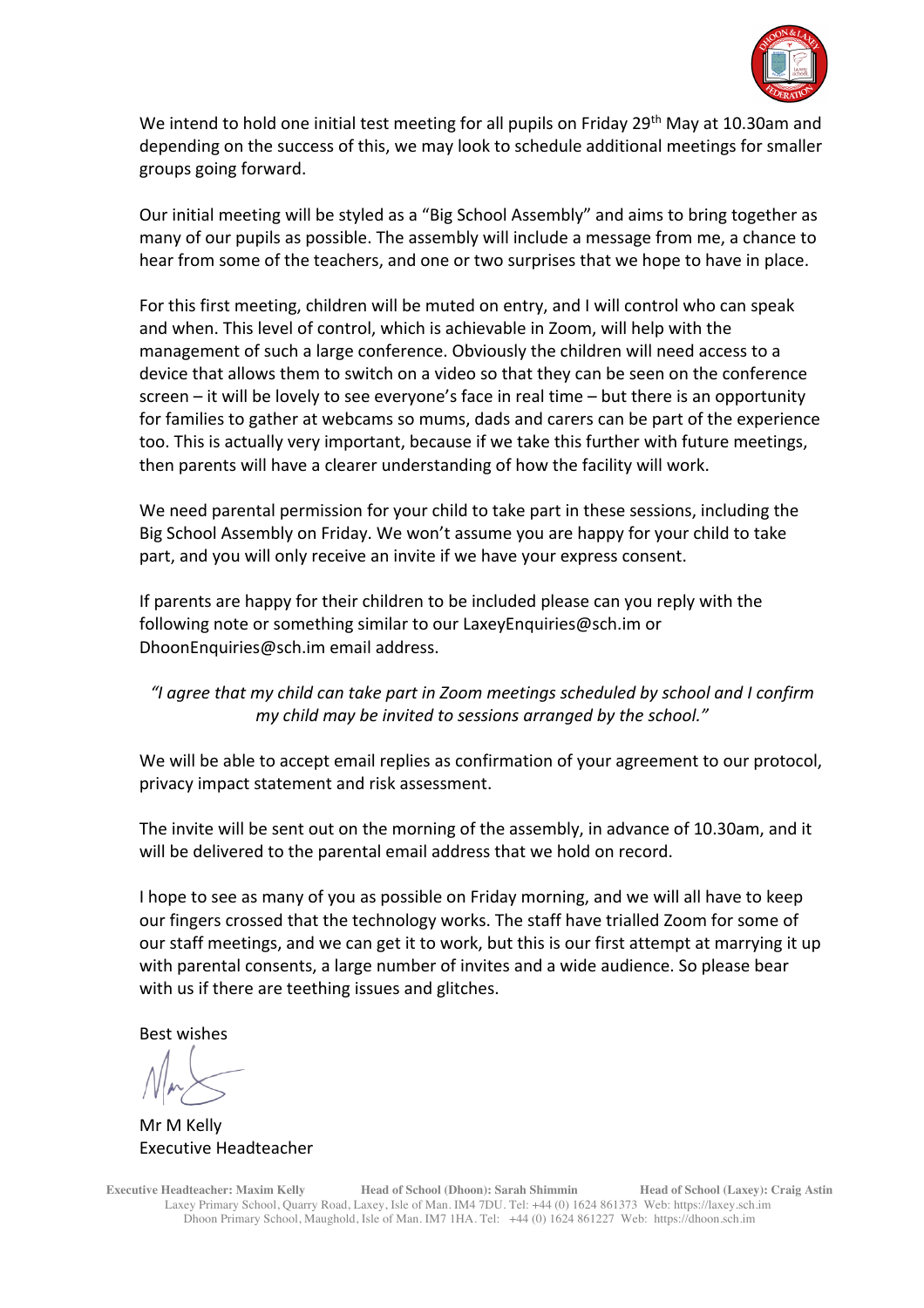

We intend to hold one initial test meeting for all pupils on Friday 29<sup>th</sup> May at 10.30am and depending on the success of this, we may look to schedule additional meetings for smaller groups going forward.

Our initial meeting will be styled as a "Big School Assembly" and aims to bring together as many of our pupils as possible. The assembly will include a message from me, a chance to hear from some of the teachers, and one or two surprises that we hope to have in place.

For this first meeting, children will be muted on entry, and I will control who can speak and when. This level of control, which is achievable in Zoom, will help with the management of such a large conference. Obviously the children will need access to a device that allows them to switch on a video so that they can be seen on the conference screen – it will be lovely to see everyone's face in real time – but there is an opportunity for families to gather at webcams so mums, dads and carers can be part of the experience too. This is actually very important, because if we take this further with future meetings, then parents will have a clearer understanding of how the facility will work.

We need parental permission for your child to take part in these sessions, including the Big School Assembly on Friday. We won't assume you are happy for your child to take part, and you will only receive an invite if we have your express consent.

If parents are happy for their children to be included please can you reply with the following note or something similar to our LaxeyEnquiries@sch.im or DhoonEnquiries@sch.im email address.

# *"I agree that my child can take part in Zoom meetings scheduled by school and I confirm my child may be invited to sessions arranged by the school."*

We will be able to accept email replies as confirmation of your agreement to our protocol, privacy impact statement and risk assessment.

The invite will be sent out on the morning of the assembly, in advance of 10.30am, and it will be delivered to the parental email address that we hold on record.

I hope to see as many of you as possible on Friday morning, and we will all have to keep our fingers crossed that the technology works. The staff have trialled Zoom for some of our staff meetings, and we can get it to work, but this is our first attempt at marrying it up with parental consents, a large number of invites and a wide audience. So please bear with us if there are teething issues and glitches.

Best wishes

Mr M Kelly Executive Headteacher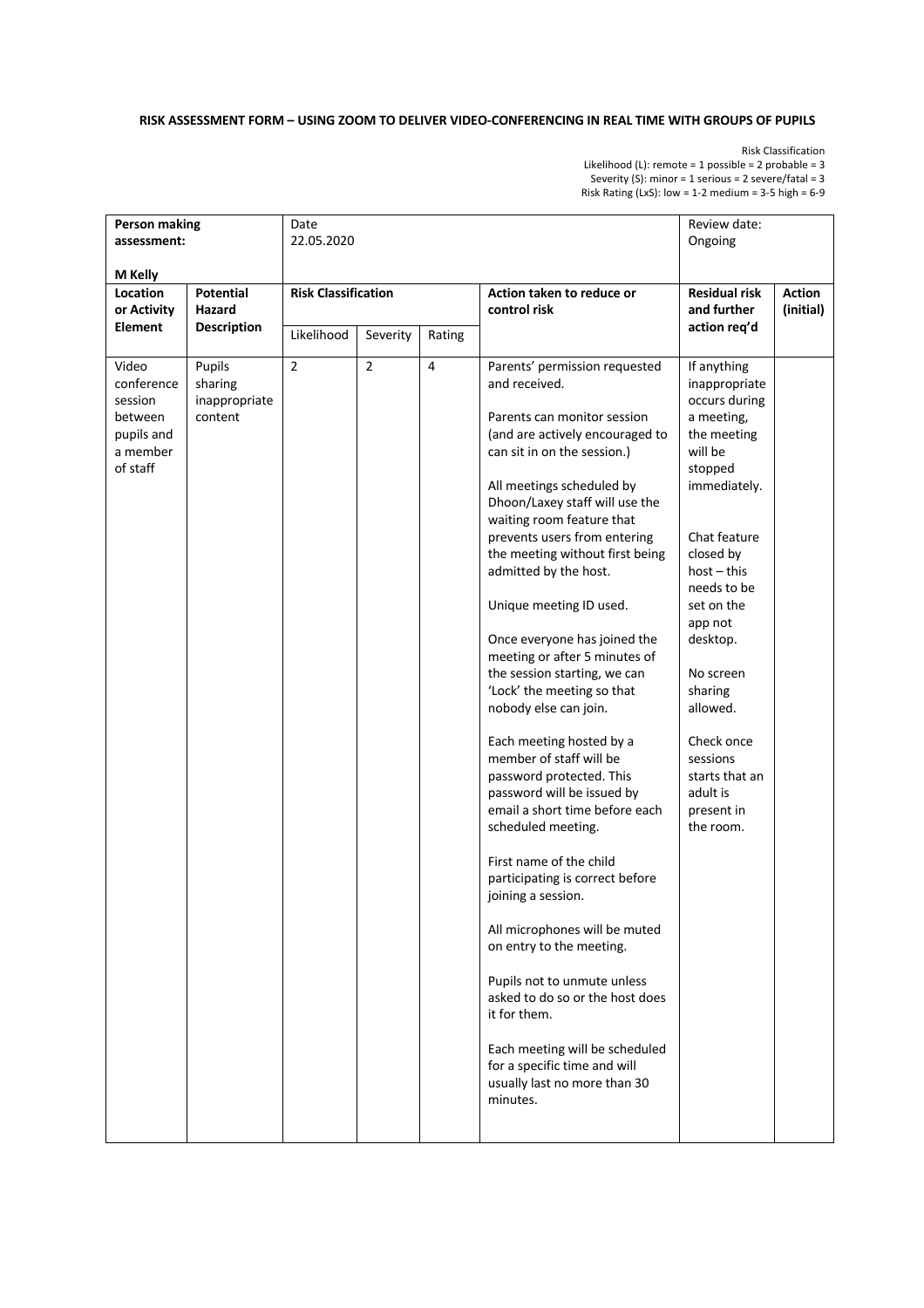## **RISK ASSESSMENT FORM – USING ZOOM TO DELIVER VIDEO-CONFERENCING IN REAL TIME WITH GROUPS OF PUPILS**

Risk Classification

Likelihood (L): remote = 1 possible = 2 probable = 3 Severity (S): minor = 1 serious = 2 severe/fatal = 3 Risk Rating (LxS): low = 1-2 medium =  $3-5$  high =  $6-9$ 

| <b>Person making</b><br>assessment:                                             |                                                  | Date<br>22.05.2020                       |                |                | Review date:<br>Ongoing                                                                                                                                                                                                                                                                                                                                                                                                                                                                                                                                                                                                                                                                                                                                                                                                                                                                                                                                                                                                                              |                                                                                                                                                                                                                                                                                                                                         |                            |
|---------------------------------------------------------------------------------|--------------------------------------------------|------------------------------------------|----------------|----------------|------------------------------------------------------------------------------------------------------------------------------------------------------------------------------------------------------------------------------------------------------------------------------------------------------------------------------------------------------------------------------------------------------------------------------------------------------------------------------------------------------------------------------------------------------------------------------------------------------------------------------------------------------------------------------------------------------------------------------------------------------------------------------------------------------------------------------------------------------------------------------------------------------------------------------------------------------------------------------------------------------------------------------------------------------|-----------------------------------------------------------------------------------------------------------------------------------------------------------------------------------------------------------------------------------------------------------------------------------------------------------------------------------------|----------------------------|
| M Kelly                                                                         |                                                  |                                          |                |                |                                                                                                                                                                                                                                                                                                                                                                                                                                                                                                                                                                                                                                                                                                                                                                                                                                                                                                                                                                                                                                                      |                                                                                                                                                                                                                                                                                                                                         |                            |
| Location<br>or Activity<br><b>Element</b>                                       | <b>Potential</b><br>Hazard<br><b>Description</b> | <b>Risk Classification</b><br>Likelihood | Severity       | Rating         | Action taken to reduce or<br>control risk                                                                                                                                                                                                                                                                                                                                                                                                                                                                                                                                                                                                                                                                                                                                                                                                                                                                                                                                                                                                            | <b>Residual risk</b><br>and further<br>action req'd                                                                                                                                                                                                                                                                                     | <b>Action</b><br>(initial) |
| Video<br>conference<br>session<br>between<br>pupils and<br>a member<br>of staff | Pupils<br>sharing<br>inappropriate<br>content    | $\overline{2}$                           | $\overline{2}$ | $\overline{4}$ | Parents' permission requested<br>and received.<br>Parents can monitor session<br>(and are actively encouraged to<br>can sit in on the session.)<br>All meetings scheduled by<br>Dhoon/Laxey staff will use the<br>waiting room feature that<br>prevents users from entering<br>the meeting without first being<br>admitted by the host.<br>Unique meeting ID used.<br>Once everyone has joined the<br>meeting or after 5 minutes of<br>the session starting, we can<br>'Lock' the meeting so that<br>nobody else can join.<br>Each meeting hosted by a<br>member of staff will be<br>password protected. This<br>password will be issued by<br>email a short time before each<br>scheduled meeting.<br>First name of the child<br>participating is correct before<br>joining a session.<br>All microphones will be muted<br>on entry to the meeting.<br>Pupils not to unmute unless<br>asked to do so or the host does<br>it for them.<br>Each meeting will be scheduled<br>for a specific time and will<br>usually last no more than 30<br>minutes. | If anything<br>inappropriate<br>occurs during<br>a meeting,<br>the meeting<br>will be<br>stopped<br>immediately.<br>Chat feature<br>closed by<br>$host-this$<br>needs to be<br>set on the<br>app not<br>desktop.<br>No screen<br>sharing<br>allowed.<br>Check once<br>sessions<br>starts that an<br>adult is<br>present in<br>the room. |                            |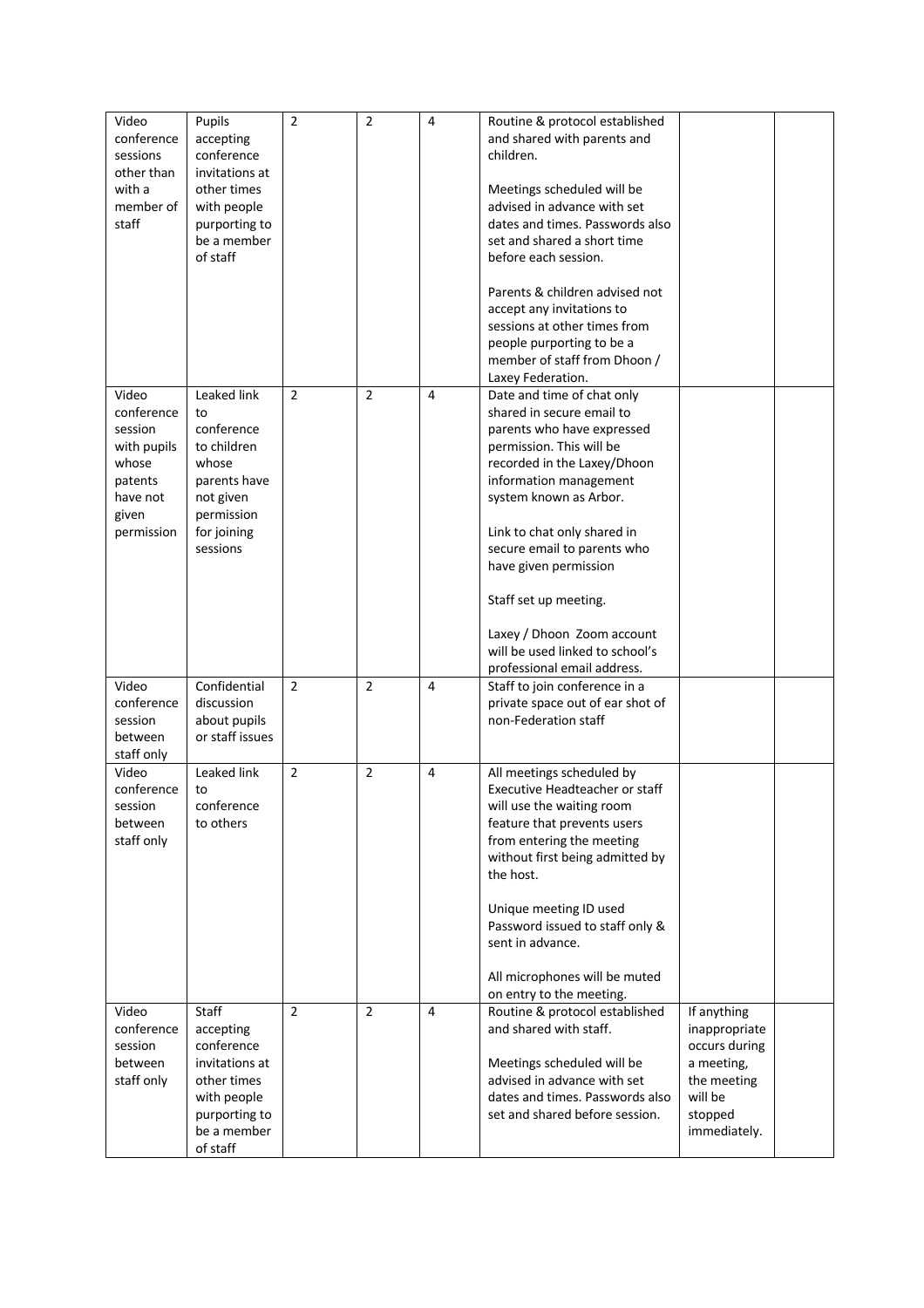| Video<br>conference    | Pupils                        | $\overline{2}$ | 2              | 4 | Routine & protocol established<br>and shared with parents and |                             |  |
|------------------------|-------------------------------|----------------|----------------|---|---------------------------------------------------------------|-----------------------------|--|
| sessions               | accepting<br>conference       |                |                |   | children.                                                     |                             |  |
| other than<br>with a   | invitations at<br>other times |                |                |   |                                                               |                             |  |
| member of              | with people                   |                |                |   | Meetings scheduled will be<br>advised in advance with set     |                             |  |
| staff                  | purporting to                 |                |                |   | dates and times. Passwords also                               |                             |  |
|                        | be a member                   |                |                |   | set and shared a short time                                   |                             |  |
|                        | of staff                      |                |                |   | before each session.                                          |                             |  |
|                        |                               |                |                |   | Parents & children advised not                                |                             |  |
|                        |                               |                |                |   | accept any invitations to                                     |                             |  |
|                        |                               |                |                |   | sessions at other times from                                  |                             |  |
|                        |                               |                |                |   | people purporting to be a<br>member of staff from Dhoon /     |                             |  |
|                        |                               |                |                |   | Laxey Federation.                                             |                             |  |
| Video                  | Leaked link                   | $\overline{2}$ | $\overline{2}$ | 4 | Date and time of chat only                                    |                             |  |
| conference             | to<br>conference              |                |                |   | shared in secure email to                                     |                             |  |
| session<br>with pupils | to children                   |                |                |   | parents who have expressed<br>permission. This will be        |                             |  |
| whose                  | whose                         |                |                |   | recorded in the Laxey/Dhoon                                   |                             |  |
| patents                | parents have                  |                |                |   | information management                                        |                             |  |
| have not               | not given                     |                |                |   | system known as Arbor.                                        |                             |  |
| given                  | permission                    |                |                |   |                                                               |                             |  |
| permission             | for joining<br>sessions       |                |                |   | Link to chat only shared in<br>secure email to parents who    |                             |  |
|                        |                               |                |                |   | have given permission                                         |                             |  |
|                        |                               |                |                |   | Staff set up meeting.                                         |                             |  |
|                        |                               |                |                |   |                                                               |                             |  |
|                        |                               |                |                |   | Laxey / Dhoon Zoom account<br>will be used linked to school's |                             |  |
|                        |                               |                |                |   | professional email address.                                   |                             |  |
| Video                  | Confidential                  | $\overline{2}$ | $\overline{2}$ | 4 | Staff to join conference in a                                 |                             |  |
| conference             | discussion                    |                |                |   | private space out of ear shot of                              |                             |  |
| session                | about pupils                  |                |                |   | non-Federation staff                                          |                             |  |
| between<br>staff only  | or staff issues               |                |                |   |                                                               |                             |  |
| Video                  | Leaked link                   | $\overline{2}$ | $\overline{2}$ | 4 | All meetings scheduled by                                     |                             |  |
| conference             | to                            |                |                |   | Executive Headteacher or staff                                |                             |  |
| session                | conference                    |                |                |   | will use the waiting room                                     |                             |  |
| between                | to others                     |                |                |   | feature that prevents users<br>from entering the meeting      |                             |  |
| staff only             |                               |                |                |   | without first being admitted by                               |                             |  |
|                        |                               |                |                |   | the host.                                                     |                             |  |
|                        |                               |                |                |   | Unique meeting ID used                                        |                             |  |
|                        |                               |                |                |   | Password issued to staff only &                               |                             |  |
|                        |                               |                |                |   | sent in advance.                                              |                             |  |
|                        |                               |                |                |   | All microphones will be muted                                 |                             |  |
|                        |                               |                |                |   | on entry to the meeting.                                      |                             |  |
| Video                  | <b>Staff</b>                  | $\overline{2}$ | $\overline{2}$ | 4 | Routine & protocol established                                | If anything                 |  |
| conference             | accepting                     |                |                |   | and shared with staff.                                        | inappropriate               |  |
| session<br>between     | conference<br>invitations at  |                |                |   | Meetings scheduled will be                                    | occurs during<br>a meeting, |  |
| staff only             | other times                   |                |                |   | advised in advance with set                                   | the meeting                 |  |
|                        | with people                   |                |                |   | dates and times. Passwords also                               | will be                     |  |
|                        | purporting to                 |                |                |   | set and shared before session.                                | stopped                     |  |
|                        | be a member<br>of staff       |                |                |   |                                                               | immediately.                |  |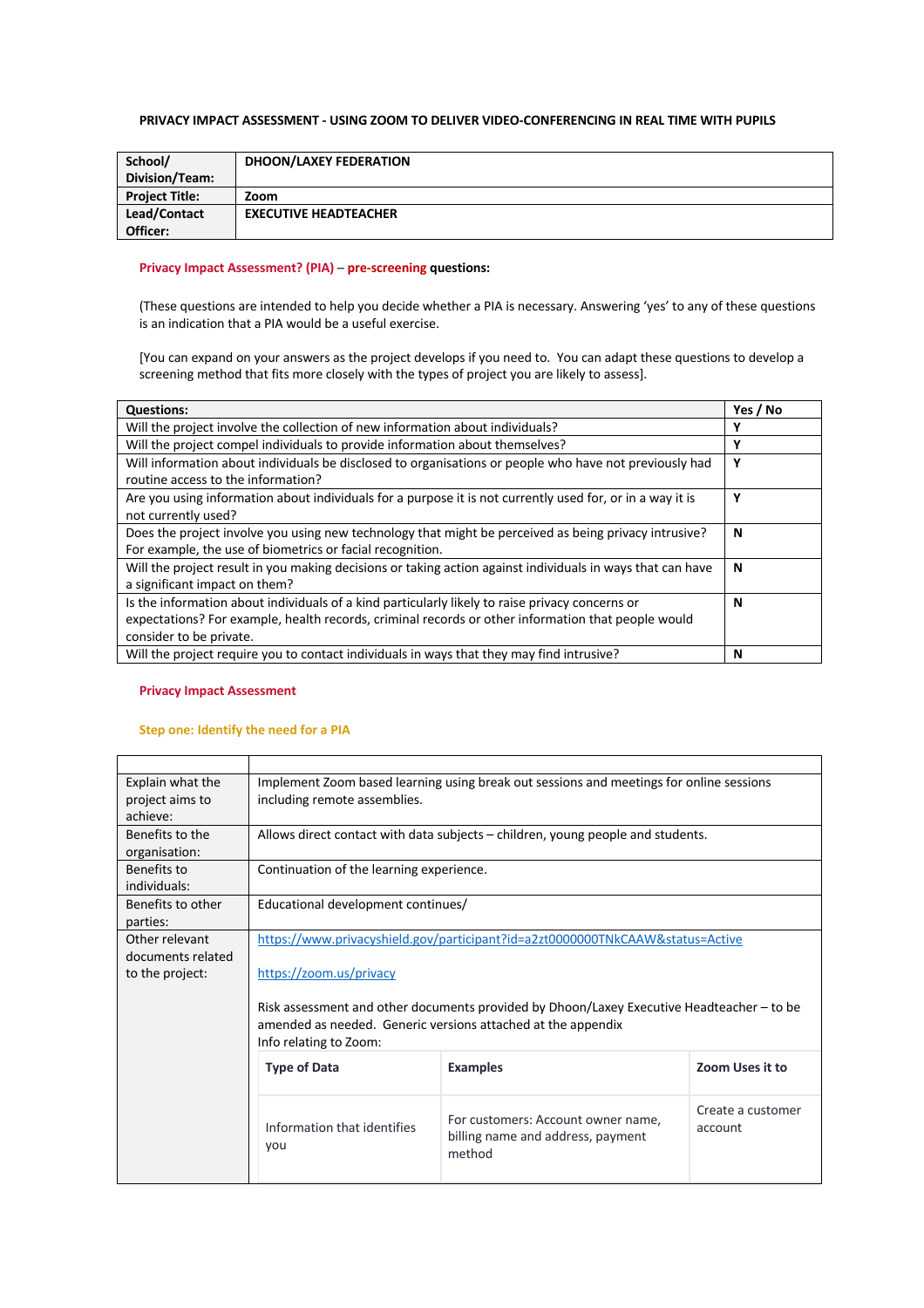## **PRIVACY IMPACT ASSESSMENT - USING ZOOM TO DELIVER VIDEO-CONFERENCING IN REAL TIME WITH PUPILS**

| School/               | <b>DHOON/LAXEY FEDERATION</b> |
|-----------------------|-------------------------------|
| Division/Team:        |                               |
| <b>Project Title:</b> | Zoom                          |
| Lead/Contact          | <b>EXECUTIVE HEADTEACHER</b>  |
| Officer:              |                               |

## **Privacy Impact Assessment? (PIA) ─ pre-screening questions:**

(These questions are intended to help you decide whether a PIA is necessary. Answering 'yes' to any of these questions is an indication that a PIA would be a useful exercise.

[You can expand on your answers as the project develops if you need to. You can adapt these questions to develop a screening method that fits more closely with the types of project you are likely to assess].

| <b>Questions:</b>                                                                                                                                                                                                                | Yes / No |  |
|----------------------------------------------------------------------------------------------------------------------------------------------------------------------------------------------------------------------------------|----------|--|
| Will the project involve the collection of new information about individuals?                                                                                                                                                    | v        |  |
| Will the project compel individuals to provide information about themselves?                                                                                                                                                     | Y        |  |
| Will information about individuals be disclosed to organisations or people who have not previously had<br>routine access to the information?                                                                                     |          |  |
| Are you using information about individuals for a purpose it is not currently used for, or in a way it is<br>not currently used?                                                                                                 | Υ        |  |
| Does the project involve you using new technology that might be perceived as being privacy intrusive?<br>For example, the use of biometrics or facial recognition.                                                               |          |  |
| Will the project result in you making decisions or taking action against individuals in ways that can have<br>a significant impact on them?                                                                                      |          |  |
| Is the information about individuals of a kind particularly likely to raise privacy concerns or<br>expectations? For example, health records, criminal records or other information that people would<br>consider to be private. |          |  |
| Will the project require you to contact individuals in ways that they may find intrusive?                                                                                                                                        | N        |  |

#### **Privacy Impact Assessment**

## **Step one: Identify the need for a PIA**

| Explain what the  | Implement Zoom based learning using break out sessions and meetings for online sessions   |                                                                                 |                   |  |  |
|-------------------|-------------------------------------------------------------------------------------------|---------------------------------------------------------------------------------|-------------------|--|--|
| project aims to   | including remote assemblies.                                                              |                                                                                 |                   |  |  |
| achieve:          |                                                                                           |                                                                                 |                   |  |  |
| Benefits to the   |                                                                                           | Allows direct contact with data subjects – children, young people and students. |                   |  |  |
| organisation:     |                                                                                           |                                                                                 |                   |  |  |
| Benefits to       | Continuation of the learning experience.                                                  |                                                                                 |                   |  |  |
| individuals:      |                                                                                           |                                                                                 |                   |  |  |
| Benefits to other | Educational development continues/                                                        |                                                                                 |                   |  |  |
| parties:          |                                                                                           |                                                                                 |                   |  |  |
| Other relevant    | https://www.privacyshield.gov/participant?id=a2zt0000000TNkCAAW&status=Active             |                                                                                 |                   |  |  |
| documents related |                                                                                           |                                                                                 |                   |  |  |
| to the project:   | https://zoom.us/privacy                                                                   |                                                                                 |                   |  |  |
|                   |                                                                                           |                                                                                 |                   |  |  |
|                   | Risk assessment and other documents provided by Dhoon/Laxey Executive Headteacher – to be |                                                                                 |                   |  |  |
|                   | amended as needed. Generic versions attached at the appendix                              |                                                                                 |                   |  |  |
|                   | Info relating to Zoom:                                                                    |                                                                                 |                   |  |  |
|                   | <b>Type of Data</b>                                                                       | <b>Examples</b>                                                                 | Zoom Uses it to   |  |  |
|                   |                                                                                           |                                                                                 |                   |  |  |
|                   |                                                                                           |                                                                                 | Create a customer |  |  |
|                   | Information that identifies                                                               | For customers: Account owner name,                                              | account           |  |  |
|                   | you                                                                                       | billing name and address, payment                                               |                   |  |  |
|                   |                                                                                           | method                                                                          |                   |  |  |
|                   |                                                                                           |                                                                                 |                   |  |  |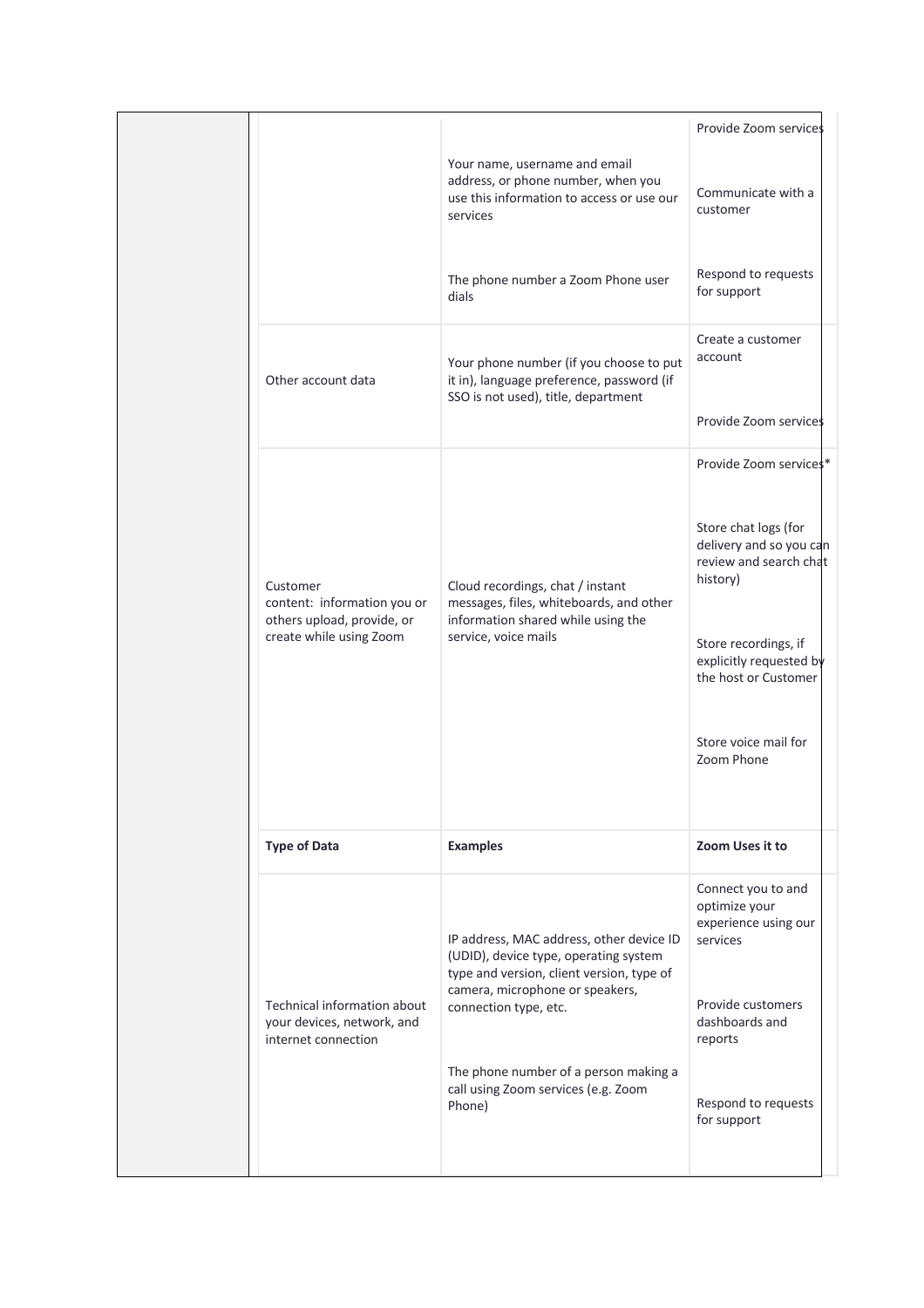|                                                                                                  |                                                                                                                                                                                            | Provide Zoom services                                                                                          |
|--------------------------------------------------------------------------------------------------|--------------------------------------------------------------------------------------------------------------------------------------------------------------------------------------------|----------------------------------------------------------------------------------------------------------------|
|                                                                                                  | Your name, username and email<br>address, or phone number, when you<br>use this information to access or use our<br>services                                                               | Communicate with a<br>customer                                                                                 |
|                                                                                                  | The phone number a Zoom Phone user<br>dials                                                                                                                                                | Respond to requests<br>for support                                                                             |
| Other account data                                                                               | Your phone number (if you choose to put<br>it in), language preference, password (if<br>SSO is not used), title, department                                                                | Create a customer<br>account                                                                                   |
|                                                                                                  |                                                                                                                                                                                            | Provide Zoom services                                                                                          |
|                                                                                                  |                                                                                                                                                                                            | Provide Zoom services*                                                                                         |
| Customer<br>content: information you or<br>others upload, provide, or<br>create while using Zoom | Cloud recordings, chat / instant<br>messages, files, whiteboards, and other<br>information shared while using the<br>service, voice mails                                                  | Store chat logs (for<br>delivery and so you can<br>review and search chat<br>history)                          |
|                                                                                                  |                                                                                                                                                                                            | Store recordings, if<br>explicitly requested by<br>the host or Customer                                        |
|                                                                                                  |                                                                                                                                                                                            | Store voice mail for<br>Zoom Phone                                                                             |
| <b>Type of Data</b>                                                                              | <b>Examples</b>                                                                                                                                                                            | Zoom Uses it to                                                                                                |
| Technical information about<br>your devices, network, and                                        | IP address, MAC address, other device ID<br>(UDID), device type, operating system<br>type and version, client version, type of<br>camera, microphone or speakers,<br>connection type, etc. | Connect you to and<br>optimize your<br>experience using our<br>services<br>Provide customers<br>dashboards and |
| internet connection                                                                              | The phone number of a person making a<br>call using Zoom services (e.g. Zoom<br>Phone)                                                                                                     | reports<br>Respond to requests<br>for support                                                                  |
|                                                                                                  |                                                                                                                                                                                            |                                                                                                                |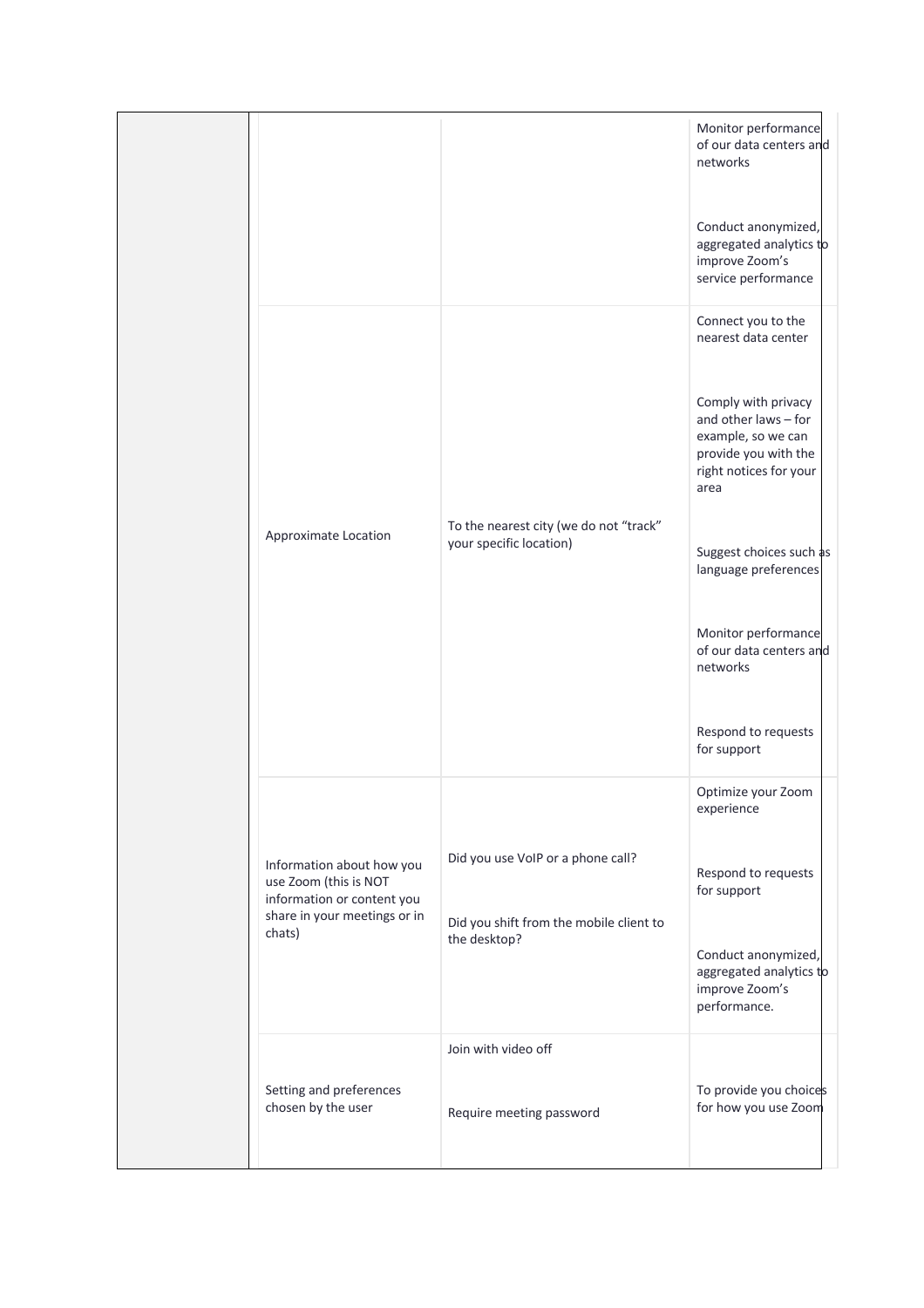|                                                                                                                            |                                                                                              | Monitor performance<br>of our data centers and<br>networks<br>Conduct anonymized,<br>aggregated analytics to<br>improve Zoom's<br>service performance                                                                                                                                                                           |
|----------------------------------------------------------------------------------------------------------------------------|----------------------------------------------------------------------------------------------|---------------------------------------------------------------------------------------------------------------------------------------------------------------------------------------------------------------------------------------------------------------------------------------------------------------------------------|
| Approximate Location                                                                                                       | To the nearest city (we do not "track"<br>your specific location)                            | Connect you to the<br>nearest data center<br>Comply with privacy<br>and other laws - for<br>example, so we can<br>provide you with the<br>right notices for your<br>area<br>Suggest choices such as<br>language preferences<br>Monitor performance<br>of our data centers and<br>networks<br>Respond to requests<br>for support |
| Information about how you<br>use Zoom (this is NOT<br>information or content you<br>share in your meetings or in<br>chats) | Did you use VoIP or a phone call?<br>Did you shift from the mobile client to<br>the desktop? | Optimize your Zoom<br>experience<br>Respond to requests<br>for support<br>Conduct anonymized,<br>aggregated analytics to<br>improve Zoom's<br>performance.                                                                                                                                                                      |
| Setting and preferences<br>chosen by the user                                                                              | Join with video off<br>Require meeting password                                              | To provide you choices<br>for how you use Zoom                                                                                                                                                                                                                                                                                  |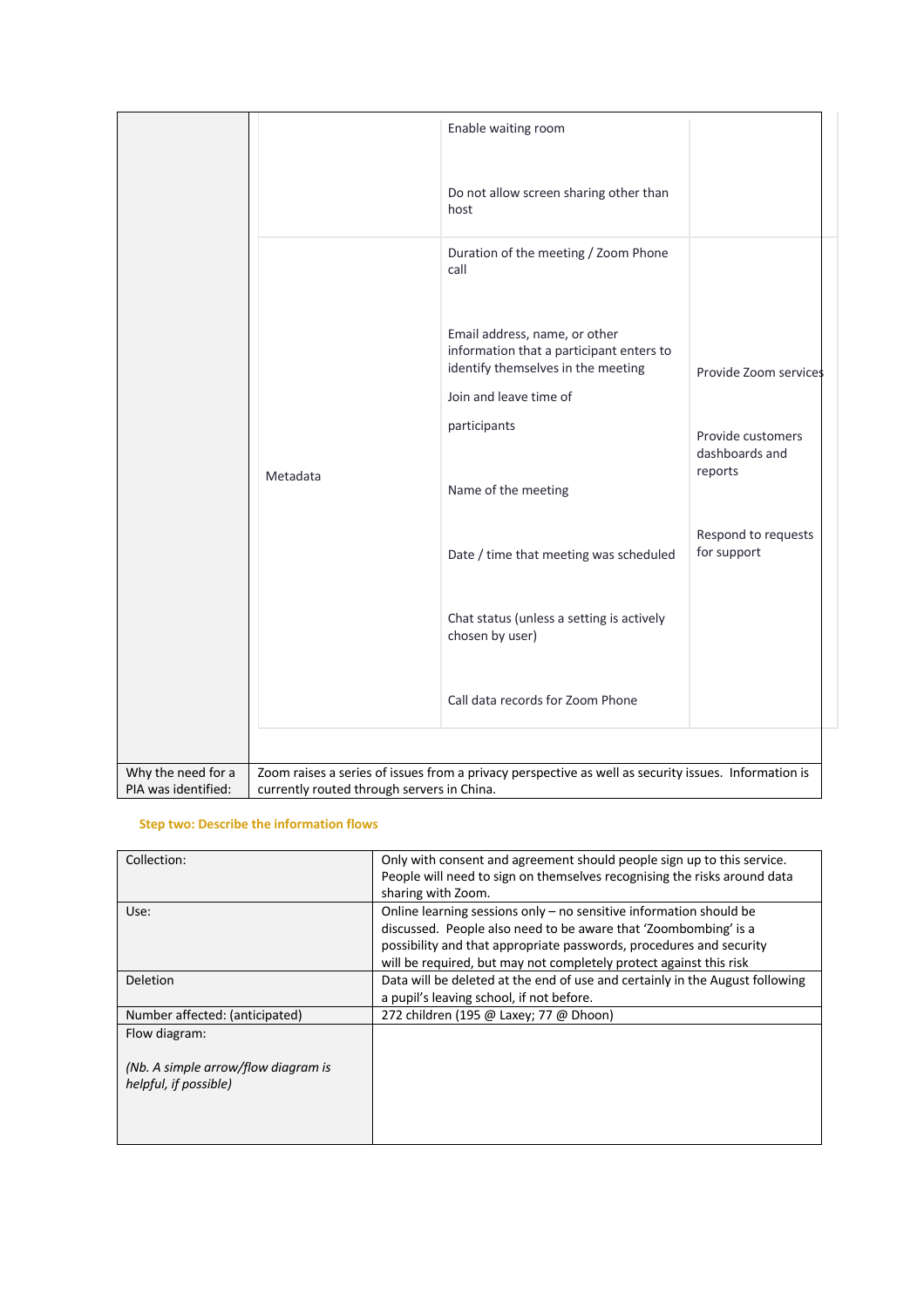| Enable waiting room                                                                                                                                                                             |  |
|-------------------------------------------------------------------------------------------------------------------------------------------------------------------------------------------------|--|
| Do not allow screen sharing other than<br>host                                                                                                                                                  |  |
| Duration of the meeting / Zoom Phone<br>call                                                                                                                                                    |  |
| Email address, name, or other<br>information that a participant enters to<br>identify themselves in the meeting<br>Provide Zoom services<br>Join and leave time of                              |  |
| participants<br>Provide customers<br>dashboards and<br>reports<br>Metadata<br>Name of the meeting                                                                                               |  |
| Respond to requests<br>for support<br>Date / time that meeting was scheduled                                                                                                                    |  |
| Chat status (unless a setting is actively<br>chosen by user)                                                                                                                                    |  |
| Call data records for Zoom Phone                                                                                                                                                                |  |
|                                                                                                                                                                                                 |  |
| Why the need for a<br>Zoom raises a series of issues from a privacy perspective as well as security issues. Information is<br>PIA was identified:<br>currently routed through servers in China. |  |

## **Step two: Describe the information flows**

| Collection:                                                  | Only with consent and agreement should people sign up to this service.<br>People will need to sign on themselves recognising the risks around data<br>sharing with Zoom.                                                                                                             |
|--------------------------------------------------------------|--------------------------------------------------------------------------------------------------------------------------------------------------------------------------------------------------------------------------------------------------------------------------------------|
| Use:                                                         | Online learning sessions only $-$ no sensitive information should be<br>discussed. People also need to be aware that 'Zoombombing' is a<br>possibility and that appropriate passwords, procedures and security<br>will be required, but may not completely protect against this risk |
| <b>Deletion</b>                                              | Data will be deleted at the end of use and certainly in the August following<br>a pupil's leaving school, if not before.                                                                                                                                                             |
| Number affected: (anticipated)                               | 272 children (195 @ Laxey; 77 @ Dhoon)                                                                                                                                                                                                                                               |
| Flow diagram:                                                |                                                                                                                                                                                                                                                                                      |
| (Nb. A simple arrow/flow diagram is<br>helpful, if possible) |                                                                                                                                                                                                                                                                                      |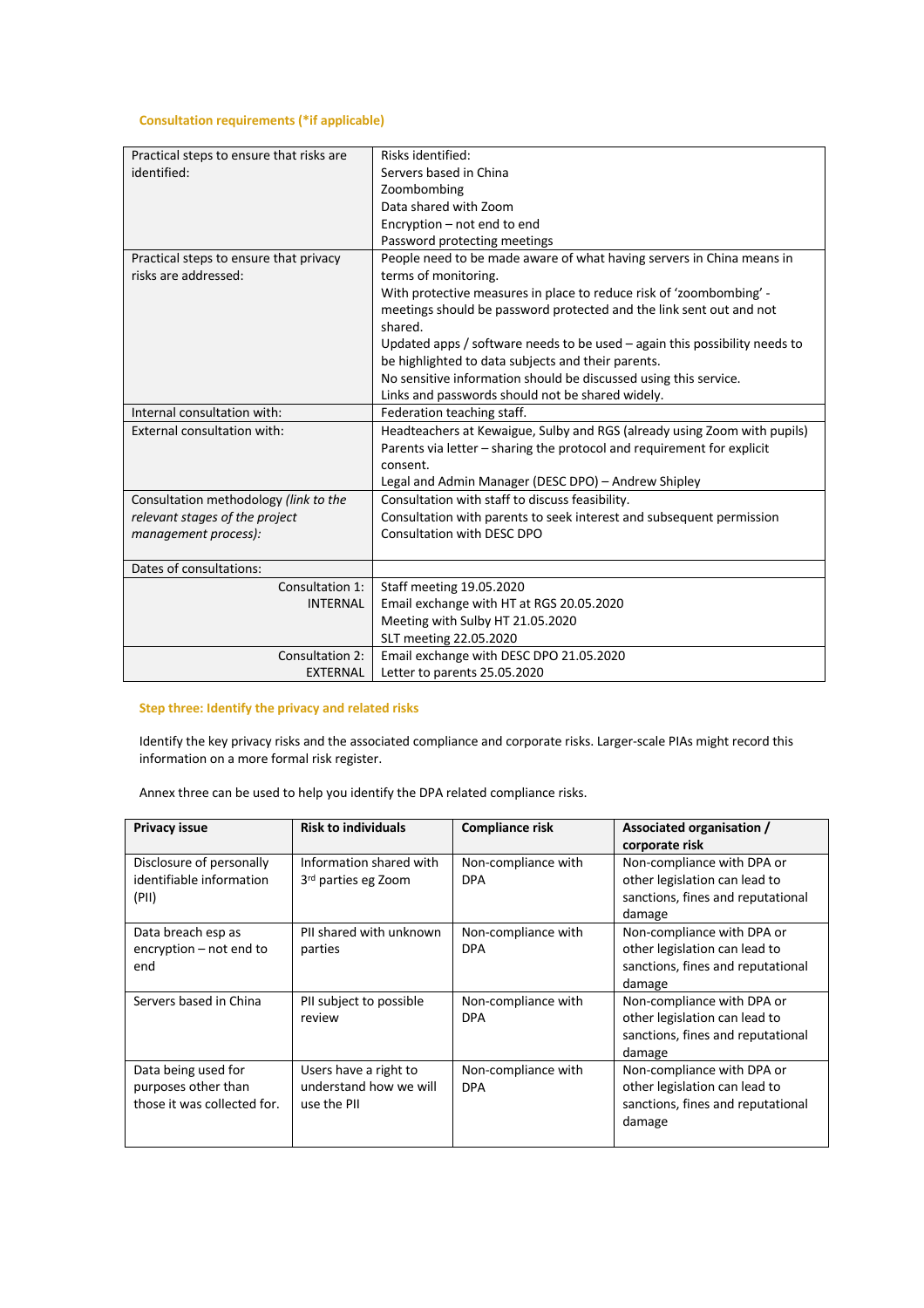## **Consultation requirements (\*if applicable)**

| Practical steps to ensure that risks are | Risks identified:                                                            |
|------------------------------------------|------------------------------------------------------------------------------|
| identified:                              | Servers based in China                                                       |
|                                          | Zoombombing                                                                  |
|                                          | Data shared with Zoom                                                        |
|                                          | Encryption - not end to end                                                  |
|                                          | Password protecting meetings                                                 |
| Practical steps to ensure that privacy   | People need to be made aware of what having servers in China means in        |
| risks are addressed:                     | terms of monitoring.                                                         |
|                                          | With protective measures in place to reduce risk of 'zoombombing' -          |
|                                          | meetings should be password protected and the link sent out and not          |
|                                          | shared.                                                                      |
|                                          | Updated apps / software needs to be used $-$ again this possibility needs to |
|                                          | be highlighted to data subjects and their parents.                           |
|                                          | No sensitive information should be discussed using this service.             |
|                                          | Links and passwords should not be shared widely.                             |
| Internal consultation with:              | Federation teaching staff.                                                   |
| External consultation with:              | Headteachers at Kewaigue, Sulby and RGS (already using Zoom with pupils)     |
|                                          | Parents via letter - sharing the protocol and requirement for explicit       |
|                                          | consent.                                                                     |
|                                          | Legal and Admin Manager (DESC DPO) - Andrew Shipley                          |
| Consultation methodology (link to the    | Consultation with staff to discuss feasibility.                              |
| relevant stages of the project           | Consultation with parents to seek interest and subsequent permission         |
| management process):                     | Consultation with DESC DPO                                                   |
|                                          |                                                                              |
| Dates of consultations:                  |                                                                              |
| Consultation 1:                          | Staff meeting 19.05.2020                                                     |
| <b>INTERNAL</b>                          | Email exchange with HT at RGS 20.05.2020                                     |
|                                          | Meeting with Sulby HT 21.05.2020                                             |
|                                          | SLT meeting 22.05.2020                                                       |
| Consultation 2:                          | Email exchange with DESC DPO 21.05.2020                                      |
| <b>EXTERNAL</b>                          | Letter to parents 25.05.2020                                                 |

**Step three: Identify the privacy and related risks**

Identify the key privacy risks and the associated compliance and corporate risks. Larger-scale PIAs might record this information on a more formal risk register.

Annex three can be used to help you identify the DPA related compliance risks.

| <b>Privacy issue</b>                                                      | <b>Risk to individuals</b>                                     | Compliance risk                   | Associated organisation /<br>corporate risk                                                                |
|---------------------------------------------------------------------------|----------------------------------------------------------------|-----------------------------------|------------------------------------------------------------------------------------------------------------|
| Disclosure of personally<br>identifiable information<br>(PII)             | Information shared with<br>3 <sup>rd</sup> parties eg Zoom     | Non-compliance with<br><b>DPA</b> | Non-compliance with DPA or<br>other legislation can lead to<br>sanctions, fines and reputational<br>damage |
| Data breach esp as<br>encryption – not end to<br>end                      | PII shared with unknown<br>parties                             | Non-compliance with<br><b>DPA</b> | Non-compliance with DPA or<br>other legislation can lead to<br>sanctions, fines and reputational<br>damage |
| Servers based in China                                                    | PII subject to possible<br>review                              | Non-compliance with<br><b>DPA</b> | Non-compliance with DPA or<br>other legislation can lead to<br>sanctions, fines and reputational<br>damage |
| Data being used for<br>purposes other than<br>those it was collected for. | Users have a right to<br>understand how we will<br>use the PII | Non-compliance with<br><b>DPA</b> | Non-compliance with DPA or<br>other legislation can lead to<br>sanctions, fines and reputational<br>damage |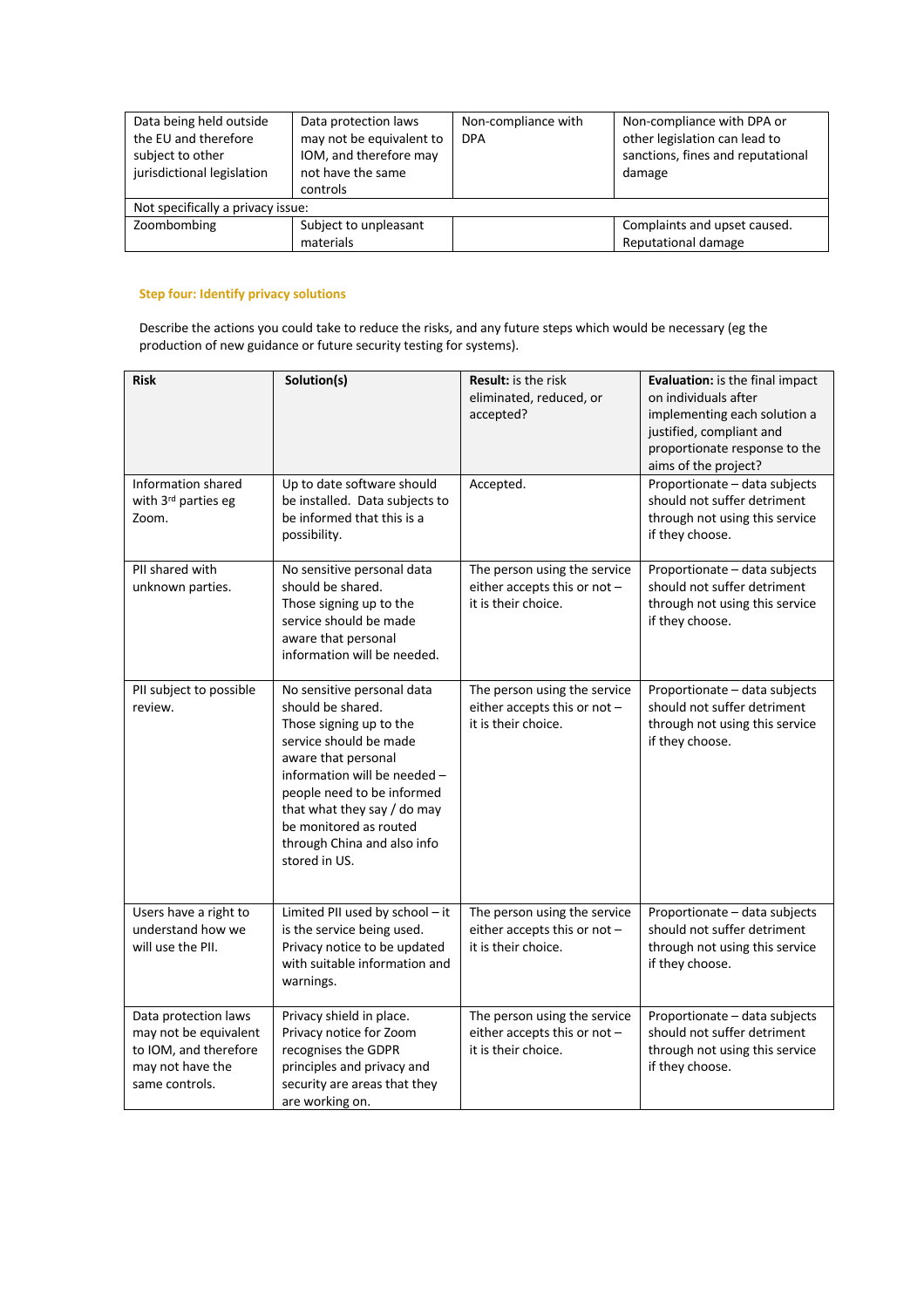| Data being held outside<br>the EU and therefore<br>subject to other<br>jurisdictional legislation | Data protection laws<br>may not be equivalent to<br>IOM, and therefore may<br>not have the same<br>controls | Non-compliance with<br><b>DPA</b> | Non-compliance with DPA or<br>other legislation can lead to<br>sanctions, fines and reputational<br>damage |
|---------------------------------------------------------------------------------------------------|-------------------------------------------------------------------------------------------------------------|-----------------------------------|------------------------------------------------------------------------------------------------------------|
| Not specifically a privacy issue:                                                                 |                                                                                                             |                                   |                                                                                                            |
| Zoombombing                                                                                       | Subject to unpleasant<br>materials                                                                          |                                   | Complaints and upset caused.<br>Reputational damage                                                        |

## **Step four: Identify privacy solutions**

Describe the actions you could take to reduce the risks, and any future steps which would be necessary (eg the production of new guidance or future security testing for systems).

| <b>Risk</b>                                                                                                  | Solution(s)                                                                                                                                                                                                                                                                                        | <b>Result:</b> is the risk<br>eliminated, reduced, or<br>accepted?                  | Evaluation: is the final impact<br>on individuals after<br>implementing each solution a<br>justified, compliant and<br>proportionate response to the |
|--------------------------------------------------------------------------------------------------------------|----------------------------------------------------------------------------------------------------------------------------------------------------------------------------------------------------------------------------------------------------------------------------------------------------|-------------------------------------------------------------------------------------|------------------------------------------------------------------------------------------------------------------------------------------------------|
| Information shared<br>with 3rd parties eg<br>Zoom.                                                           | Up to date software should<br>be installed. Data subjects to<br>be informed that this is a<br>possibility.                                                                                                                                                                                         | Accepted.                                                                           | aims of the project?<br>Proportionate - data subjects<br>should not suffer detriment<br>through not using this service<br>if they choose.            |
| PII shared with<br>unknown parties.                                                                          | No sensitive personal data<br>should be shared.<br>Those signing up to the<br>service should be made<br>aware that personal<br>information will be needed.                                                                                                                                         | The person using the service<br>either accepts this or not -<br>it is their choice. | Proportionate - data subjects<br>should not suffer detriment<br>through not using this service<br>if they choose.                                    |
| PII subject to possible<br>review.                                                                           | No sensitive personal data<br>should be shared.<br>Those signing up to the<br>service should be made<br>aware that personal<br>information will be needed -<br>people need to be informed<br>that what they say / do may<br>be monitored as routed<br>through China and also info<br>stored in US. | The person using the service<br>either accepts this or not -<br>it is their choice. | Proportionate - data subjects<br>should not suffer detriment<br>through not using this service<br>if they choose.                                    |
| Users have a right to<br>understand how we<br>will use the PII.                                              | Limited PII used by school - it<br>is the service being used.<br>Privacy notice to be updated<br>with suitable information and<br>warnings.                                                                                                                                                        | The person using the service<br>either accepts this or not -<br>it is their choice. | Proportionate - data subjects<br>should not suffer detriment<br>through not using this service<br>if they choose.                                    |
| Data protection laws<br>may not be equivalent<br>to IOM, and therefore<br>may not have the<br>same controls. | Privacy shield in place.<br>Privacy notice for Zoom<br>recognises the GDPR<br>principles and privacy and<br>security are areas that they<br>are working on.                                                                                                                                        | The person using the service<br>either accepts this or not -<br>it is their choice. | Proportionate - data subjects<br>should not suffer detriment<br>through not using this service<br>if they choose.                                    |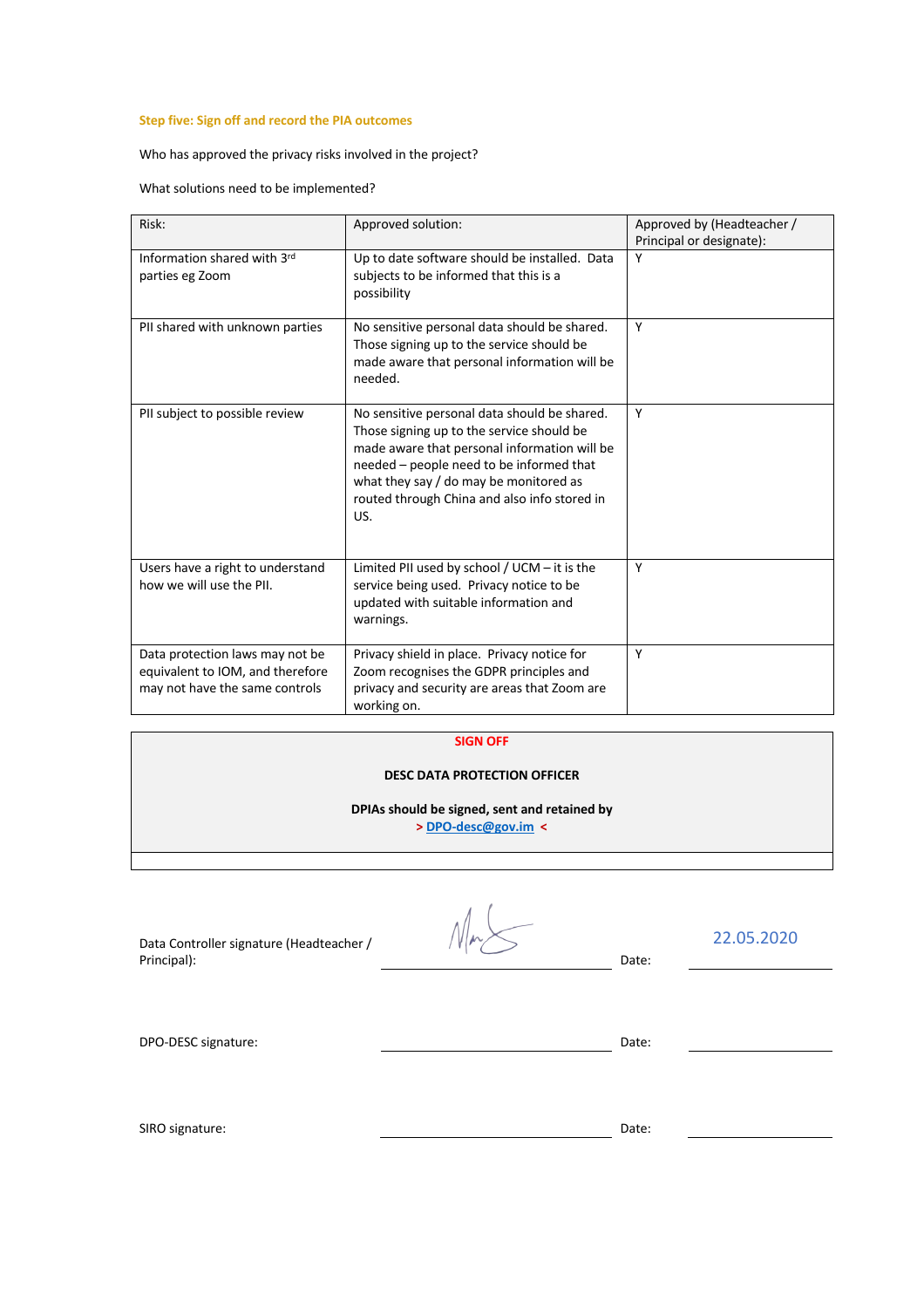## **Step five: Sign off and record the PIA outcomes**

Who has approved the privacy risks involved in the project?

What solutions need to be implemented?

| Risk:                                                                                                 | Approved solution:                                                                                                                                                                                                                                                                     | Approved by (Headteacher /<br>Principal or designate): |
|-------------------------------------------------------------------------------------------------------|----------------------------------------------------------------------------------------------------------------------------------------------------------------------------------------------------------------------------------------------------------------------------------------|--------------------------------------------------------|
| Information shared with 3rd<br>parties eg Zoom                                                        | Up to date software should be installed. Data<br>subjects to be informed that this is a<br>possibility                                                                                                                                                                                 | Υ                                                      |
| PII shared with unknown parties                                                                       | No sensitive personal data should be shared.<br>Those signing up to the service should be<br>made aware that personal information will be<br>needed.                                                                                                                                   | Y                                                      |
| PII subject to possible review                                                                        | No sensitive personal data should be shared.<br>Those signing up to the service should be<br>made aware that personal information will be<br>needed - people need to be informed that<br>what they say / do may be monitored as<br>routed through China and also info stored in<br>US. | Y                                                      |
| Users have a right to understand<br>how we will use the PII.                                          | Limited PII used by school / UCM - it is the<br>service being used. Privacy notice to be<br>updated with suitable information and<br>warnings.                                                                                                                                         | Y                                                      |
| Data protection laws may not be<br>equivalent to IOM, and therefore<br>may not have the same controls | Privacy shield in place. Privacy notice for<br>Zoom recognises the GDPR principles and<br>privacy and security are areas that Zoom are<br>working on.                                                                                                                                  | Y                                                      |

#### **SIGN OFF**

### **DESC DATA PROTECTION OFFICER**

**DPIAs should be signed, sent and retained by** 

**> DPO-desc@gov.im <**

Data Controller signature (Headteacher / Principal): Date:

22.05.2020

DPO-DESC signature: Date: Date: Date: Date: Date: Date: Date: Date: Date: Date: Date: Date: Date: Date: Date: Date: Date: Date: Date: Date: Date: Date: Date: Date: Date: Date: Date: Date: Date: Date: Date: Date: Date: Date

| SIRO signature: | Date: |
|-----------------|-------|
|-----------------|-------|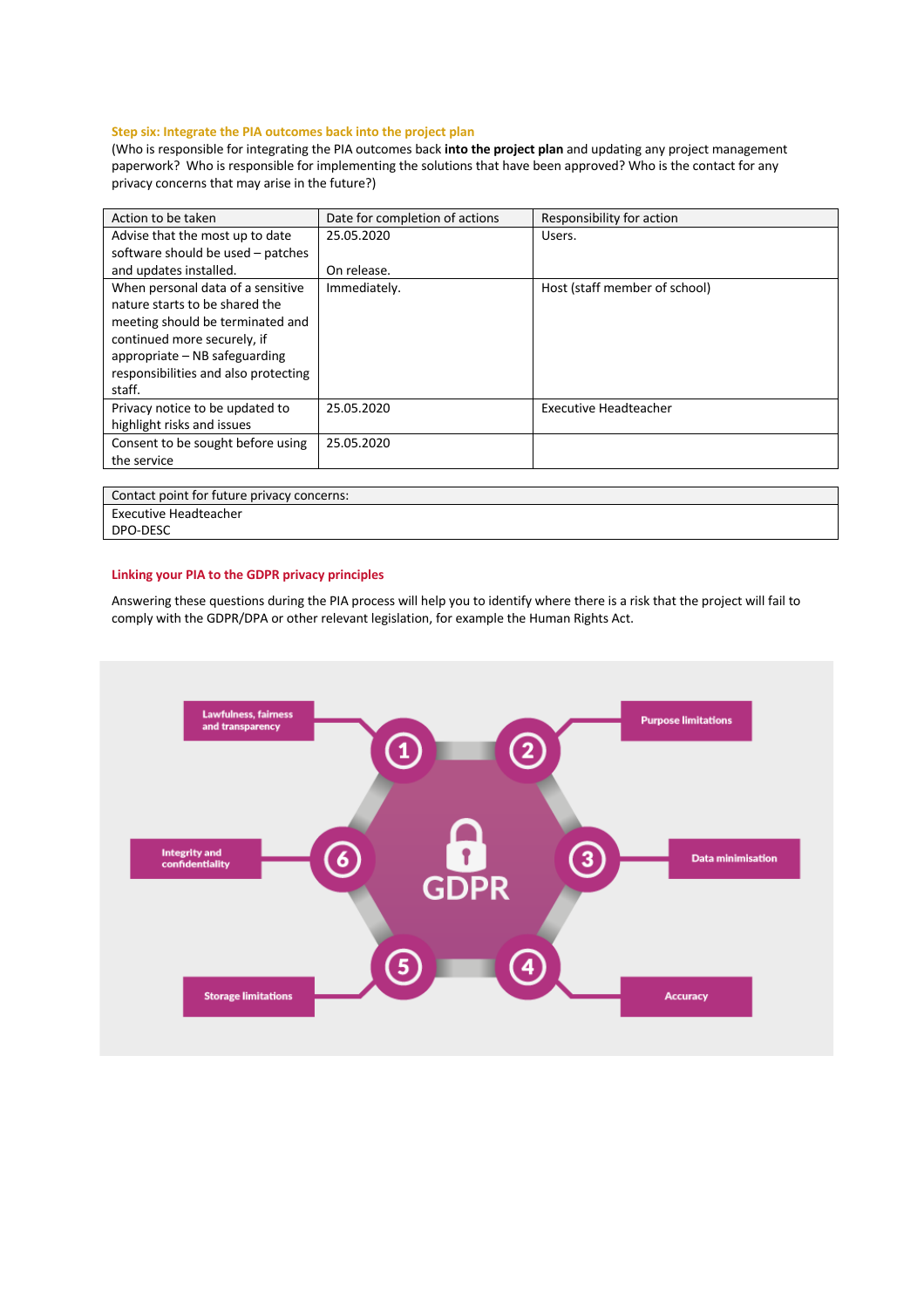## **Step six: Integrate the PIA outcomes back into the project plan**

(Who is responsible for integrating the PIA outcomes back **into the project plan** and updating any project management paperwork? Who is responsible for implementing the solutions that have been approved? Who is the contact for any privacy concerns that may arise in the future?)

| Action to be taken                                                                                                                                                                                                        | Date for completion of actions | Responsibility for action     |
|---------------------------------------------------------------------------------------------------------------------------------------------------------------------------------------------------------------------------|--------------------------------|-------------------------------|
| Advise that the most up to date                                                                                                                                                                                           | 25.05.2020                     | Users.                        |
| software should be used - patches                                                                                                                                                                                         |                                |                               |
| and updates installed.                                                                                                                                                                                                    | On release.                    |                               |
| When personal data of a sensitive<br>nature starts to be shared the<br>meeting should be terminated and<br>continued more securely, if<br>appropriate – NB safeguarding<br>responsibilities and also protecting<br>staff. | Immediately.                   | Host (staff member of school) |
| Privacy notice to be updated to<br>highlight risks and issues                                                                                                                                                             | 25.05.2020                     | <b>Executive Headteacher</b>  |
| Consent to be sought before using<br>the service                                                                                                                                                                          | 25.05.2020                     |                               |

Contact point for future privacy concerns: Executive Headteacher

DPO-DESC

#### **Linking your PIA to the GDPR privacy principles**

Answering these questions during the PIA process will help you to identify where there is a risk that the project will fail to comply with the GDPR/DPA or other relevant legislation, for example the Human Rights Act.

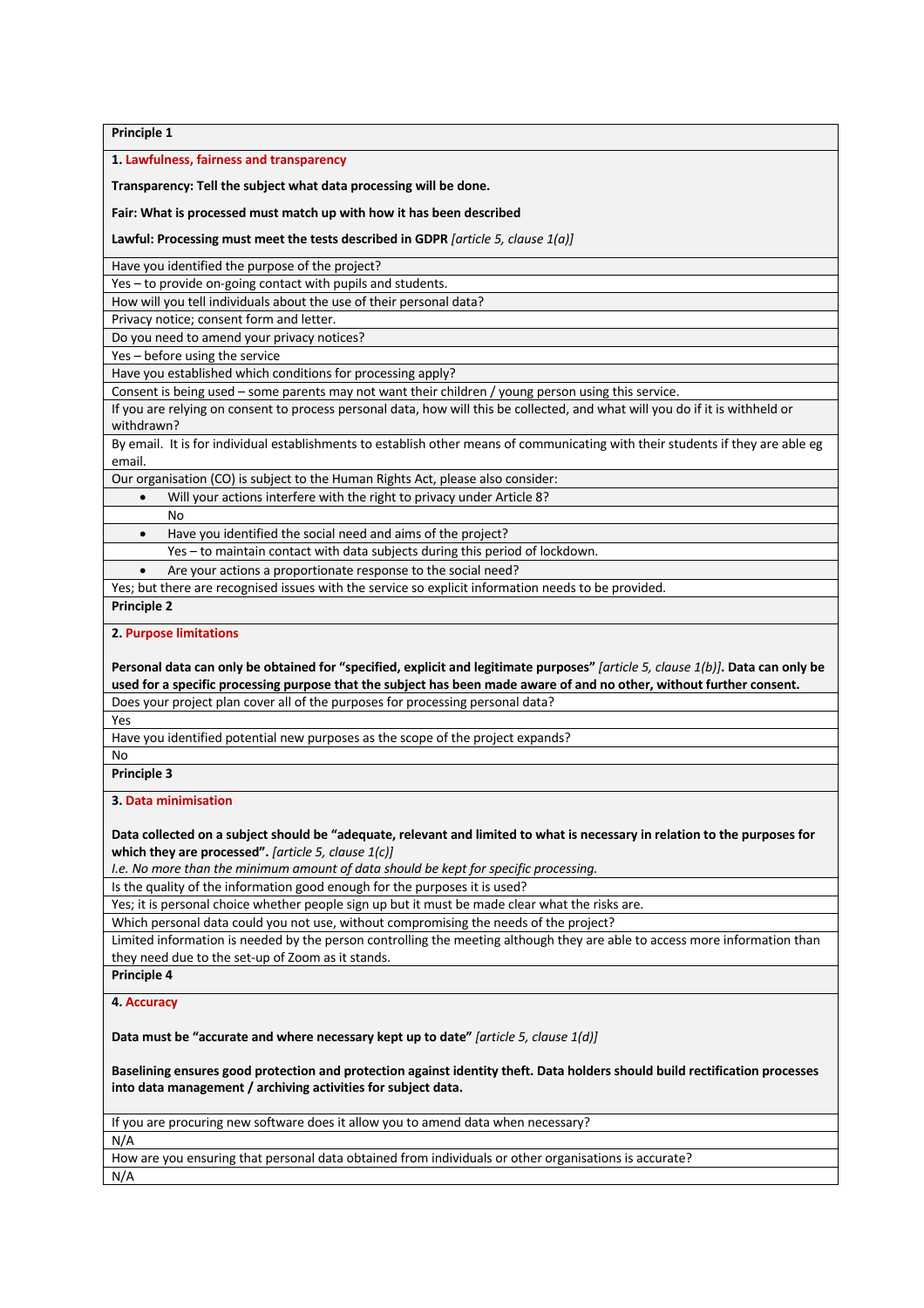**Principle 1**

**1. Lawfulness, fairness and transparency**

**Transparency: Tell the subject what data processing will be done.** 

**Fair: What is processed must match up with how it has been described**

**Lawful: Processing must meet the tests described in GDPR** *[article 5, clause 1(a)]*

Have you identified the purpose of the project?

Yes – to provide on-going contact with pupils and students.

How will you tell individuals about the use of their personal data?

Privacy notice; consent form and letter.

Do you need to amend your privacy notices?

Yes – before using the service

Have you established which conditions for processing apply?

Consent is being used – some parents may not want their children / young person using this service.

If you are relying on consent to process personal data, how will this be collected, and what will you do if it is withheld or withdrawn?

By email. It is for individual establishments to establish other means of communicating with their students if they are able eg email.

Our organisation (CO) is subject to the Human Rights Act, please also consider:

- Will your actions interfere with the right to privacy under Article 8?
- No
- Have you identified the social need and aims of the project?

Yes – to maintain contact with data subjects during this period of lockdown.

• Are your actions a proportionate response to the social need?

Yes; but there are recognised issues with the service so explicit information needs to be provided.

#### **Principle 2**

**2. Purpose limitations**

**Personal data can only be obtained for "specified, explicit and legitimate purposes"** *[article 5, clause 1(b)]***. Data can only be used for a specific processing purpose that the subject has been made aware of and no other, without further consent.** Does your project plan cover all of the purposes for processing personal data?

Yes

Have you identified potential new purposes as the scope of the project expands?

No

**Principle 3**

#### **3. Data minimisation**

**Data collected on a subject should be "adequate, relevant and limited to what is necessary in relation to the purposes for which they are processed".** *[article 5, clause 1(c)]*

*I.e. No more than the minimum amount of data should be kept for specific processing.*

Is the quality of the information good enough for the purposes it is used?

Yes; it is personal choice whether people sign up but it must be made clear what the risks are.

Which personal data could you not use, without compromising the needs of the project?

Limited information is needed by the person controlling the meeting although they are able to access more information than they need due to the set-up of Zoom as it stands.

**Principle 4** 

#### **4. Accuracy**

**Data must be "accurate and where necessary kept up to date"** *[article 5, clause 1(d)]*

**Baselining ensures good protection and protection against identity theft. Data holders should build rectification processes into data management / archiving activities for subject data.**

If you are procuring new software does it allow you to amend data when necessary?

How are you ensuring that personal data obtained from individuals or other organisations is accurate?

N/A

N/A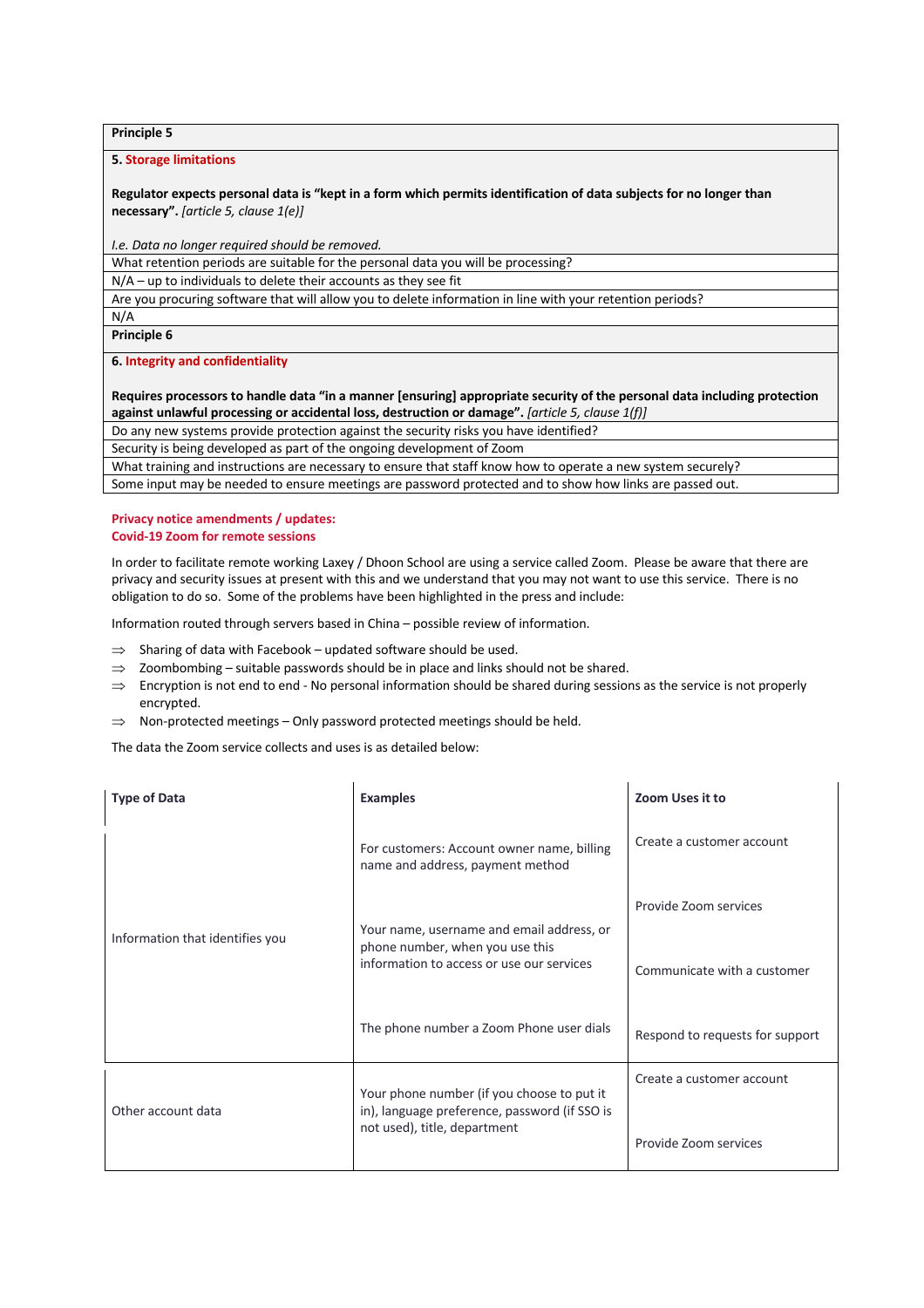**Principle 5**

#### **5. Storage limitations**

**Regulator expects personal data is "kept in a form which permits identification of data subjects for no longer than necessary".** *[article 5, clause 1(e)]*

*I.e. Data no longer required should be removed.*

What retention periods are suitable for the personal data you will be processing?

N/A – up to individuals to delete their accounts as they see fit

Are you procuring software that will allow you to delete information in line with your retention periods?

N/A

**Principle 6**

**6. Integrity and confidentiality**

**Requires processors to handle data "in a manner [ensuring] appropriate security of the personal data including protection against unlawful processing or accidental loss, destruction or damage".** *[article 5, clause 1(f)]*

Do any new systems provide protection against the security risks you have identified?

Security is being developed as part of the ongoing development of Zoom

What training and instructions are necessary to ensure that staff know how to operate a new system securely?

Some input may be needed to ensure meetings are password protected and to show how links are passed out.

#### **Privacy notice amendments / updates: Covid-19 Zoom for remote sessions**

In order to facilitate remote working Laxey / Dhoon School are using a service called Zoom. Please be aware that there are privacy and security issues at present with this and we understand that you may not want to use this service. There is no obligation to do so. Some of the problems have been highlighted in the press and include:

Information routed through servers based in China – possible review of information.

- $\Rightarrow$  Sharing of data with Facebook updated software should be used.
- $\Rightarrow$  Zoombombing suitable passwords should be in place and links should not be shared.
- $\Rightarrow$  Encryption is not end to end No personal information should be shared during sessions as the service is not properly encrypted.
- $\Rightarrow$  Non-protected meetings Only password protected meetings should be held.

The data the Zoom service collects and uses is as detailed below:

| <b>Type of Data</b>             | <b>Examples</b>                                                                             | Zoom Uses it to                 |
|---------------------------------|---------------------------------------------------------------------------------------------|---------------------------------|
|                                 | For customers: Account owner name, billing<br>name and address, payment method              | Create a customer account       |
|                                 | Your name, username and email address, or                                                   | Provide Zoom services           |
| Information that identifies you | phone number, when you use this<br>information to access or use our services                | Communicate with a customer     |
|                                 | The phone number a Zoom Phone user dials                                                    | Respond to requests for support |
| Other account data              | Your phone number (if you choose to put it<br>in), language preference, password (if SSO is | Create a customer account       |
|                                 | not used), title, department                                                                | Provide Zoom services           |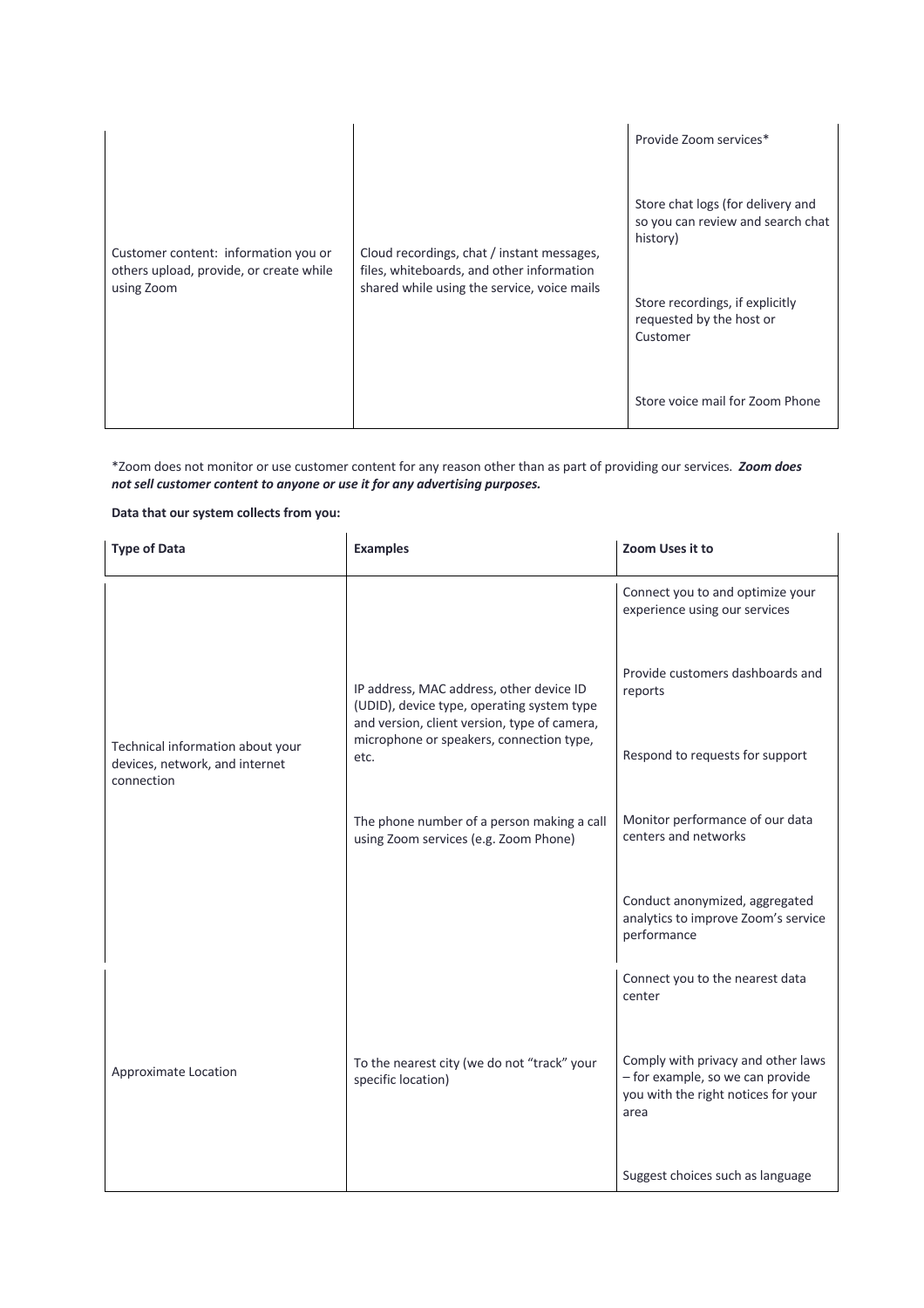| Customer content: information you or<br>others upload, provide, or create while<br>using Zoom | Cloud recordings, chat / instant messages,<br>files, whiteboards, and other information<br>shared while using the service, voice mails | Provide Zoom services*                                                                                                                                        |
|-----------------------------------------------------------------------------------------------|----------------------------------------------------------------------------------------------------------------------------------------|---------------------------------------------------------------------------------------------------------------------------------------------------------------|
|                                                                                               |                                                                                                                                        | Store chat logs (for delivery and<br>so you can review and search chat<br>history)<br>Store recordings, if explicitly<br>requested by the host or<br>Customer |
|                                                                                               |                                                                                                                                        | Store voice mail for Zoom Phone                                                                                                                               |

\*Zoom does not monitor or use customer content for any reason other than as part of providing our services. *Zoom does not sell customer content to anyone or use it for any advertising purposes.*

**Data that our system collects from you:**

| <b>Type of Data</b>                                                              | <b>Examples</b>                                                                                                                                                                            | Zoom Uses it to                                                                                                       |
|----------------------------------------------------------------------------------|--------------------------------------------------------------------------------------------------------------------------------------------------------------------------------------------|-----------------------------------------------------------------------------------------------------------------------|
|                                                                                  |                                                                                                                                                                                            | Connect you to and optimize your<br>experience using our services                                                     |
|                                                                                  | IP address, MAC address, other device ID<br>(UDID), device type, operating system type<br>and version, client version, type of camera,<br>microphone or speakers, connection type,<br>etc. | Provide customers dashboards and<br>reports                                                                           |
| Technical information about your<br>devices, network, and internet<br>connection |                                                                                                                                                                                            | Respond to requests for support                                                                                       |
|                                                                                  | The phone number of a person making a call<br>using Zoom services (e.g. Zoom Phone)                                                                                                        | Monitor performance of our data<br>centers and networks                                                               |
|                                                                                  |                                                                                                                                                                                            | Conduct anonymized, aggregated<br>analytics to improve Zoom's service<br>performance                                  |
|                                                                                  |                                                                                                                                                                                            | Connect you to the nearest data<br>center                                                                             |
| Approximate Location                                                             | To the nearest city (we do not "track" your<br>specific location)                                                                                                                          | Comply with privacy and other laws<br>- for example, so we can provide<br>you with the right notices for your<br>area |
|                                                                                  |                                                                                                                                                                                            | Suggest choices such as language                                                                                      |